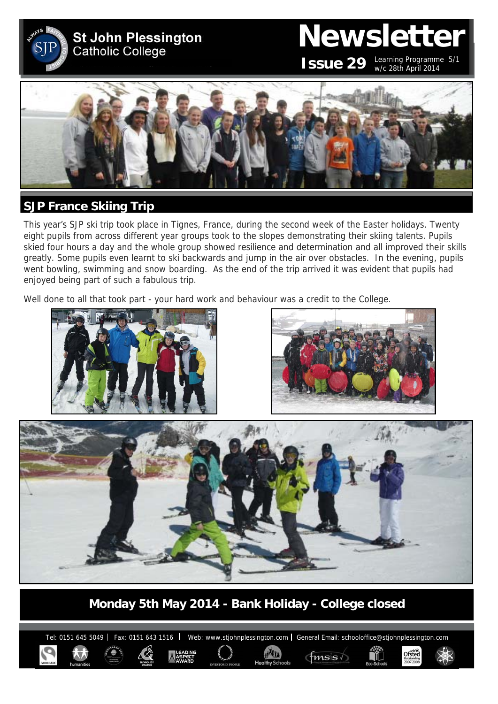**St John Plessington Catholic College** 

# **Newsletter**

**ISSUE 29** Learning Programme 5/1 w/c 28th April 2014



# **SJP France Skiing Trip**

This year's SJP ski trip took place in Tignes, France, during the second week of the Easter holidays. Twenty eight pupils from across different year groups took to the slopes demonstrating their skiing talents. Pupils skied four hours a day and the whole group showed resilience and determination and all improved their skills greatly. Some pupils even learnt to ski backwards and jump in the air over obstacles. In the evening, pupils went bowling, swimming and snow boarding. As the end of the trip arrived it was evident that pupils had enjoyed being part of such a fabulous trip.

Well done to all that took part - your hard work and behaviour was a credit to the College.





Ofsted

 $f$ <sub>msis</sub>



**Monday 5th May 2014 - Bank Holiday - College closed** 

Tel: 0151 645 5049 | Fax: 0151 643 1516 | Web: www.stjohnplessington.com | General Email: schooloffice@stjohnplessington.com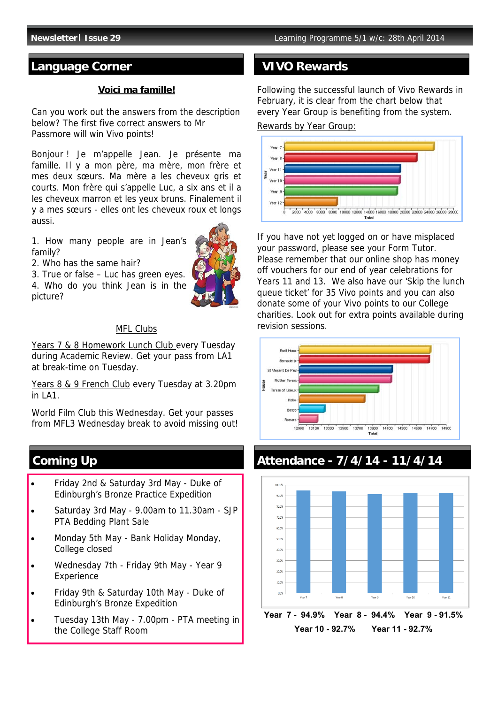### **Language Corner**

#### **Voici ma famille!**

Can you work out the answers from the description below? The first five correct answers to Mr Passmore will win Vivo points!

Bonjour ! Je m'appelle Jean. Je présente ma famille. Il y a mon père, ma mère, mon frère et mes deux sœurs. Ma mère a les cheveux gris et courts. Mon frère qui s'appelle Luc, a six ans et il a les cheveux marron et les yeux bruns. Finalement il y a mes sœurs - elles ont les cheveux roux et longs aussi.

1. How many people are in Jean's family?

2. Who has the same hair?

3. True or false – Luc has green eyes. 4. Who do you think Jean is in the picture?



#### MFL Clubs

Years 7 & 8 Homework Lunch Club every Tuesday during Academic Review. Get your pass from LA1 at break-time on Tuesday.

Years 8 & 9 French Club every Tuesday at 3.20pm in LA1.

World Film Club this Wednesday. Get your passes from MFL3 Wednesday break to avoid missing out!

- Friday 2nd & Saturday 3rd May Duke of Edinburgh's Bronze Practice Expedition
- Saturday 3rd May 9.00am to 11.30am SJP PTA Bedding Plant Sale
- Monday 5th May Bank Holiday Monday, College closed
- Wednesday 7th Friday 9th May Year 9 **Experience**
- Friday 9th & Saturday 10th May Duke of Edinburgh's Bronze Expedition
- Tuesday 13th May 7.00pm PTA meeting in the College Staff Room

#### **VIVO Rewards**

Following the successful launch of Vivo Rewards in February, it is clear from the chart below that every Year Group is benefiting from the system.

#### Rewards by Year Group:



If you have not yet logged on or have misplaced your password, please see your Form Tutor. Please remember that our online shop has money off vouchers for our end of year celebrations for Years 11 and 13. We also have our 'Skip the lunch queue ticket' for 35 Vivo points and you can also donate some of your Vivo points to our College charities. Look out for extra points available during revision sessions.



# **Coming Up Attendance - 7/4/14 - 11/4/14**

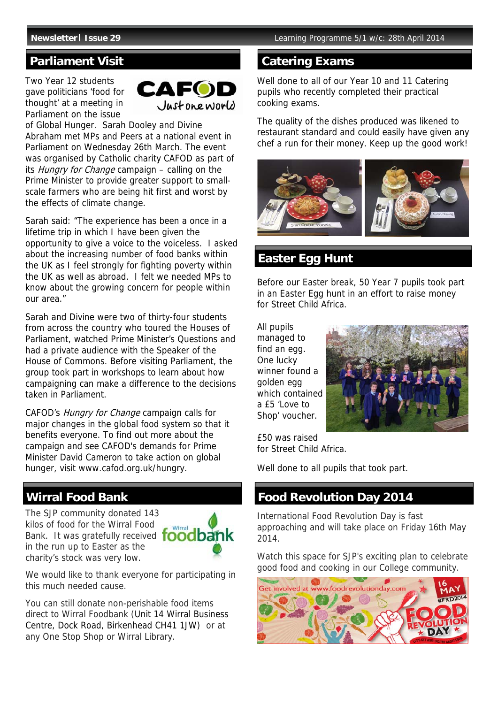Two Year 12 students gave politicians 'food for thought' at a meeting in Parliament on the issue



of Global Hunger. Sarah Dooley and Divine Abraham met MPs and Peers at a national event in Parliament on Wednesday 26th March. The event was organised by Catholic charity CAFOD as part of its Hungry for Change campaign – calling on the Prime Minister to provide greater support to smallscale farmers who are being hit first and worst by the effects of climate change.

Sarah said: "The experience has been a once in a lifetime trip in which I have been given the opportunity to give a voice to the voiceless. I asked about the increasing number of food banks within the UK as I feel strongly for fighting poverty within the UK as well as abroad. I felt we needed MPs to know about the growing concern for people within our area."

Sarah and Divine were two of thirty-four students from across the country who toured the Houses of Parliament, watched Prime Minister's Questions and had a private audience with the Speaker of the House of Commons. Before visiting Parliament, the group took part in workshops to learn about how campaigning can make a difference to the decisions taken in Parliament.

CAFOD's Hungry for Change campaign calls for major changes in the global food system so that it benefits everyone. To find out more about the campaign and see CAFOD's demands for Prime Minister David Cameron to take action on global hunger, visit www.cafod.org.uk/hungry.

#### **Wirral Food Bank**

The SJP community donated 143 kilos of food for the Wirral Food Bank. It was gratefully received **foodbank** in the run up to Easter as the charity's stock was very low.



We would like to thank everyone for participating in this much needed cause.

You can still donate non-perishable food items direct to Wirral Foodbank (Unit 14 Wirral Business Centre, Dock Road, Birkenhead CH41 1JW) or at any One Stop Shop or Wirral Library.

#### **Parliament Visit Catering Exams**

Well done to all of our Year 10 and 11 Catering pupils who recently completed their practical cooking exams.

The quality of the dishes produced was likened to restaurant standard and could easily have given any chef a run for their money. Keep up the good work!



## **Easter Egg Hunt**

Before our Easter break, 50 Year 7 pupils took part in an Easter Egg hunt in an effort to raise money for Street Child Africa.

All pupils managed to find an egg. One lucky winner found a golden egg which contained a  $f5$  'Love to Shop' voucher.



£50 was raised for Street Child Africa.

Well done to all pupils that took part.

## **Food Revolution Day 2014**

International Food Revolution Day is fast approaching and will take place on Friday 16th May 2014.

Watch this space for SJP's exciting plan to celebrate good food and cooking in our College community.